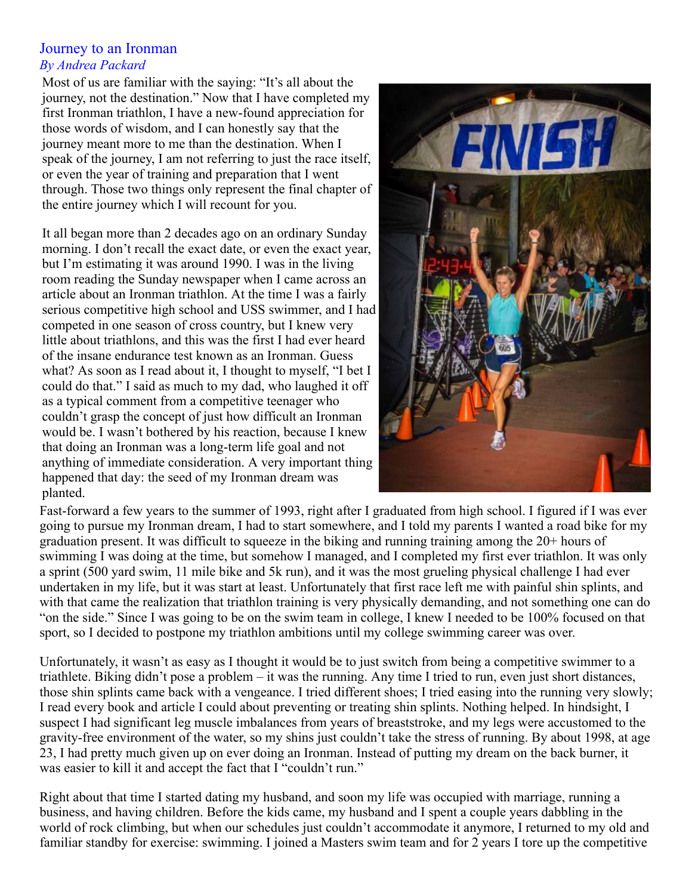## Journey to an Ironman *By Andrea Packard*

Most of us are familiar with the saying: "It's all about the journey, not the destination." Now that I have completed my first Ironman triathlon, I have a new-found appreciation for those words of wisdom, and I can honestly say that the journey meant more to me than the destination. When I speak of the journey, I am not referring to just the race itself, or even the year of training and preparation that I went through. Those two things only represent the final chapter of the entire journey which I will recount for you.

It all began more than 2 decades ago on an ordinary Sunday morning. I don't recall the exact date, or even the exact year, but I'm estimating it was around 1990. I was in the living room reading the Sunday newspaper when I came across an article about an Ironman triathlon. At the time I was a fairly serious competitive high school and USS swimmer, and I had competed in one season of cross country, but I knew very little about triathlons, and this was the first I had ever heard of the insane endurance test known as an Ironman. Guess what? As soon as I read about it, I thought to myself, "I bet I could do that." I said as much to my dad, who laughed it off as a typical comment from a competitive teenager who couldn't grasp the concept of just how difficult an Ironman would be. I wasn't bothered by his reaction, because I knew that doing an Ironman was a long-term life goal and not anything of immediate consideration. A very important thing happened that day: the seed of my Ironman dream was planted.



Fast-forward a few years to the summer of 1993, right after I graduated from high school. I figured if I was ever going to pursue my Ironman dream, I had to start somewhere, and I told my parents I wanted a road bike for my graduation present. It was difficult to squeeze in the biking and running training among the 20+ hours of swimming I was doing at the time, but somehow I managed, and I completed my first ever triathlon. It was only a sprint (500 yard swim, 11 mile bike and 5k run), and it was the most grueling physical challenge I had ever undertaken in my life, but it was start at least. Unfortunately that first race left me with painful shin splints, and with that came the realization that triathlon training is very physically demanding, and not something one can do "on the side." Since I was going to be on the swim team in college, I knew I needed to be 100% focused on that sport, so I decided to postpone my triathlon ambitions until my college swimming career was over.

Unfortunately, it wasn't as easy as I thought it would be to just switch from being a competitive swimmer to a triathlete. Biking didn't pose a problem – it was the running. Any time I tried to run, even just short distances, those shin splints came back with a vengeance. I tried different shoes; I tried easing into the running very slowly; I read every book and article I could about preventing or treating shin splints. Nothing helped. In hindsight, I suspect I had significant leg muscle imbalances from years of breaststroke, and my legs were accustomed to the gravity-free environment of the water, so my shins just couldn't take the stress of running. By about 1998, at age 23, I had pretty much given up on ever doing an Ironman. Instead of putting my dream on the back burner, it was easier to kill it and accept the fact that I "couldn't run."

Right about that time I started dating my husband, and soon my life was occupied with marriage, running a business, and having children. Before the kids came, my husband and I spent a couple years dabbling in the world of rock climbing, but when our schedules just couldn't accommodate it anymore, I returned to my old and familiar standby for exercise: swimming. I joined a Masters swim team and for 2 years I tore up the competitive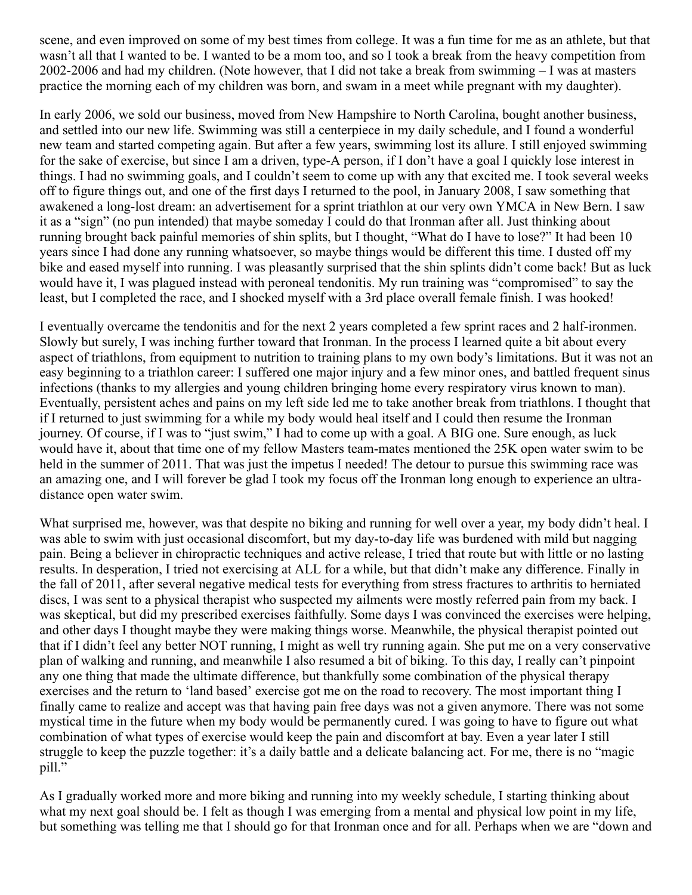scene, and even improved on some of my best times from college. It was a fun time for me as an athlete, but that wasn't all that I wanted to be. I wanted to be a mom too, and so I took a break from the heavy competition from 2002-2006 and had my children. (Note however, that I did not take a break from swimming – I was at masters practice the morning each of my children was born, and swam in a meet while pregnant with my daughter).

In early 2006, we sold our business, moved from New Hampshire to North Carolina, bought another business, and settled into our new life. Swimming was still a centerpiece in my daily schedule, and I found a wonderful new team and started competing again. But after a few years, swimming lost its allure. I still enjoyed swimming for the sake of exercise, but since I am a driven, type-A person, if I don't have a goal I quickly lose interest in things. I had no swimming goals, and I couldn't seem to come up with any that excited me. I took several weeks off to figure things out, and one of the first days I returned to the pool, in January 2008, I saw something that awakened a long-lost dream: an advertisement for a sprint triathlon at our very own YMCA in New Bern. I saw it as a "sign" (no pun intended) that maybe someday I could do that Ironman after all. Just thinking about running brought back painful memories of shin splits, but I thought, "What do I have to lose?" It had been 10 years since I had done any running whatsoever, so maybe things would be different this time. I dusted off my bike and eased myself into running. I was pleasantly surprised that the shin splints didn't come back! But as luck would have it, I was plagued instead with peroneal tendonitis. My run training was "compromised" to say the least, but I completed the race, and I shocked myself with a 3rd place overall female finish. I was hooked!

I eventually overcame the tendonitis and for the next 2 years completed a few sprint races and 2 half-ironmen. Slowly but surely, I was inching further toward that Ironman. In the process I learned quite a bit about every aspect of triathlons, from equipment to nutrition to training plans to my own body's limitations. But it was not an easy beginning to a triathlon career: I suffered one major injury and a few minor ones, and battled frequent sinus infections (thanks to my allergies and young children bringing home every respiratory virus known to man). Eventually, persistent aches and pains on my left side led me to take another break from triathlons. I thought that if I returned to just swimming for a while my body would heal itself and I could then resume the Ironman journey. Of course, if I was to "just swim," I had to come up with a goal. A BIG one. Sure enough, as luck would have it, about that time one of my fellow Masters team-mates mentioned the 25K open water swim to be held in the summer of 2011. That was just the impetus I needed! The detour to pursue this swimming race was an amazing one, and I will forever be glad I took my focus off the Ironman long enough to experience an ultradistance open water swim.

What surprised me, however, was that despite no biking and running for well over a year, my body didn't heal. I was able to swim with just occasional discomfort, but my day-to-day life was burdened with mild but nagging pain. Being a believer in chiropractic techniques and active release, I tried that route but with little or no lasting results. In desperation, I tried not exercising at ALL for a while, but that didn't make any difference. Finally in the fall of 2011, after several negative medical tests for everything from stress fractures to arthritis to herniated discs, I was sent to a physical therapist who suspected my ailments were mostly referred pain from my back. I was skeptical, but did my prescribed exercises faithfully. Some days I was convinced the exercises were helping, and other days I thought maybe they were making things worse. Meanwhile, the physical therapist pointed out that if I didn't feel any better NOT running, I might as well try running again. She put me on a very conservative plan of walking and running, and meanwhile I also resumed a bit of biking. To this day, I really can't pinpoint any one thing that made the ultimate difference, but thankfully some combination of the physical therapy exercises and the return to 'land based' exercise got me on the road to recovery. The most important thing I finally came to realize and accept was that having pain free days was not a given anymore. There was not some mystical time in the future when my body would be permanently cured. I was going to have to figure out what combination of what types of exercise would keep the pain and discomfort at bay. Even a year later I still struggle to keep the puzzle together: it's a daily battle and a delicate balancing act. For me, there is no "magic pill."

As I gradually worked more and more biking and running into my weekly schedule, I starting thinking about what my next goal should be. I felt as though I was emerging from a mental and physical low point in my life, but something was telling me that I should go for that Ironman once and for all. Perhaps when we are "down and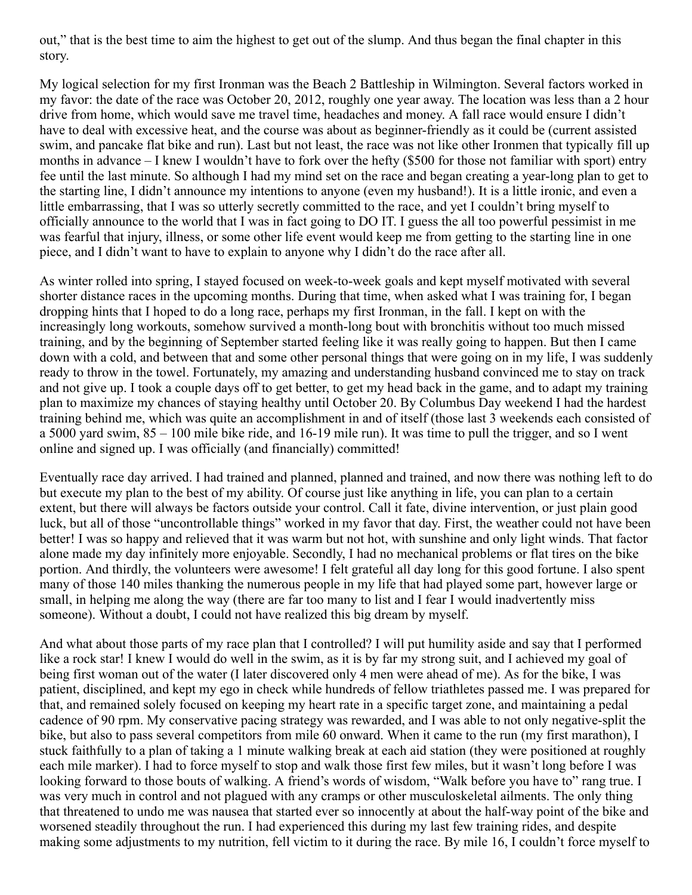out," that is the best time to aim the highest to get out of the slump. And thus began the final chapter in this story.

My logical selection for my first Ironman was the Beach 2 Battleship in Wilmington. Several factors worked in my favor: the date of the race was October 20, 2012, roughly one year away. The location was less than a 2 hour drive from home, which would save me travel time, headaches and money. A fall race would ensure I didn't have to deal with excessive heat, and the course was about as beginner-friendly as it could be (current assisted swim, and pancake flat bike and run). Last but not least, the race was not like other Ironmen that typically fill up months in advance – I knew I wouldn't have to fork over the hefty (\$500 for those not familiar with sport) entry fee until the last minute. So although I had my mind set on the race and began creating a year-long plan to get to the starting line, I didn't announce my intentions to anyone (even my husband!). It is a little ironic, and even a little embarrassing, that I was so utterly secretly committed to the race, and yet I couldn't bring myself to officially announce to the world that I was in fact going to DO IT. I guess the all too powerful pessimist in me was fearful that injury, illness, or some other life event would keep me from getting to the starting line in one piece, and I didn't want to have to explain to anyone why I didn't do the race after all.

As winter rolled into spring, I stayed focused on week-to-week goals and kept myself motivated with several shorter distance races in the upcoming months. During that time, when asked what I was training for, I began dropping hints that I hoped to do a long race, perhaps my first Ironman, in the fall. I kept on with the increasingly long workouts, somehow survived a month-long bout with bronchitis without too much missed training, and by the beginning of September started feeling like it was really going to happen. But then I came down with a cold, and between that and some other personal things that were going on in my life, I was suddenly ready to throw in the towel. Fortunately, my amazing and understanding husband convinced me to stay on track and not give up. I took a couple days off to get better, to get my head back in the game, and to adapt my training plan to maximize my chances of staying healthy until October 20. By Columbus Day weekend I had the hardest training behind me, which was quite an accomplishment in and of itself (those last 3 weekends each consisted of a 5000 yard swim, 85 – 100 mile bike ride, and 16-19 mile run). It was time to pull the trigger, and so I went online and signed up. I was officially (and financially) committed!

Eventually race day arrived. I had trained and planned, planned and trained, and now there was nothing left to do but execute my plan to the best of my ability. Of course just like anything in life, you can plan to a certain extent, but there will always be factors outside your control. Call it fate, divine intervention, or just plain good luck, but all of those "uncontrollable things" worked in my favor that day. First, the weather could not have been better! I was so happy and relieved that it was warm but not hot, with sunshine and only light winds. That factor alone made my day infinitely more enjoyable. Secondly, I had no mechanical problems or flat tires on the bike portion. And thirdly, the volunteers were awesome! I felt grateful all day long for this good fortune. I also spent many of those 140 miles thanking the numerous people in my life that had played some part, however large or small, in helping me along the way (there are far too many to list and I fear I would inadvertently miss someone). Without a doubt, I could not have realized this big dream by myself.

And what about those parts of my race plan that I controlled? I will put humility aside and say that I performed like a rock star! I knew I would do well in the swim, as it is by far my strong suit, and I achieved my goal of being first woman out of the water (I later discovered only 4 men were ahead of me). As for the bike, I was patient, disciplined, and kept my ego in check while hundreds of fellow triathletes passed me. I was prepared for that, and remained solely focused on keeping my heart rate in a specific target zone, and maintaining a pedal cadence of 90 rpm. My conservative pacing strategy was rewarded, and I was able to not only negative-split the bike, but also to pass several competitors from mile 60 onward. When it came to the run (my first marathon), I stuck faithfully to a plan of taking a 1 minute walking break at each aid station (they were positioned at roughly each mile marker). I had to force myself to stop and walk those first few miles, but it wasn't long before I was looking forward to those bouts of walking. A friend's words of wisdom, "Walk before you have to" rang true. I was very much in control and not plagued with any cramps or other musculoskeletal ailments. The only thing that threatened to undo me was nausea that started ever so innocently at about the half-way point of the bike and worsened steadily throughout the run. I had experienced this during my last few training rides, and despite making some adjustments to my nutrition, fell victim to it during the race. By mile 16, I couldn't force myself to